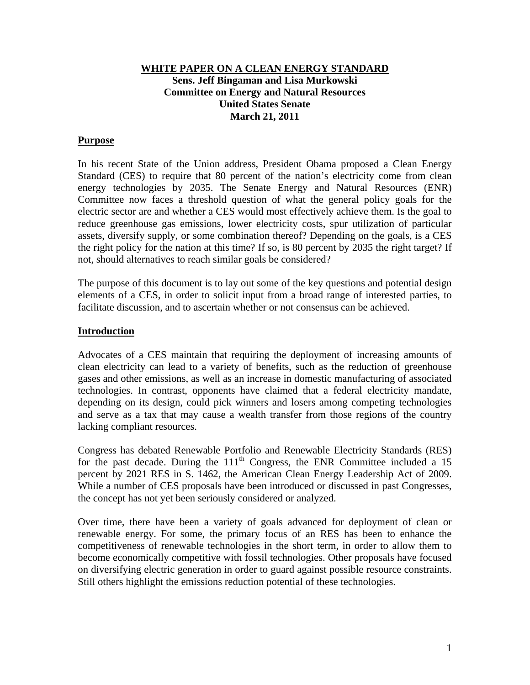#### **WHITE PAPER ON A CLEAN ENERGY STANDARD Sens. Jeff Bingaman and Lisa Murkowski Committee on Energy and Natural Resources United States Senate March 21, 2011**

### **Purpose**

In his recent State of the Union address, President Obama proposed a Clean Energy Standard (CES) to require that 80 percent of the nation's electricity come from clean energy technologies by 2035. The Senate Energy and Natural Resources (ENR) Committee now faces a threshold question of what the general policy goals for the electric sector are and whether a CES would most effectively achieve them. Is the goal to reduce greenhouse gas emissions, lower electricity costs, spur utilization of particular assets, diversify supply, or some combination thereof? Depending on the goals, is a CES the right policy for the nation at this time? If so, is 80 percent by 2035 the right target? If not, should alternatives to reach similar goals be considered?

The purpose of this document is to lay out some of the key questions and potential design elements of a CES, in order to solicit input from a broad range of interested parties, to facilitate discussion, and to ascertain whether or not consensus can be achieved.

#### **Introduction**

Advocates of a CES maintain that requiring the deployment of increasing amounts of clean electricity can lead to a variety of benefits, such as the reduction of greenhouse gases and other emissions, as well as an increase in domestic manufacturing of associated technologies. In contrast, opponents have claimed that a federal electricity mandate, depending on its design, could pick winners and losers among competing technologies and serve as a tax that may cause a wealth transfer from those regions of the country lacking compliant resources.

Congress has debated Renewable Portfolio and Renewable Electricity Standards (RES) for the past decade. During the  $111<sup>th</sup>$  Congress, the ENR Committee included a 15 percent by 2021 RES in S. 1462, the American Clean Energy Leadership Act of 2009. While a number of CES proposals have been introduced or discussed in past Congresses, the concept has not yet been seriously considered or analyzed.

Over time, there have been a variety of goals advanced for deployment of clean or renewable energy. For some, the primary focus of an RES has been to enhance the competitiveness of renewable technologies in the short term, in order to allow them to become economically competitive with fossil technologies. Other proposals have focused on diversifying electric generation in order to guard against possible resource constraints. Still others highlight the emissions reduction potential of these technologies.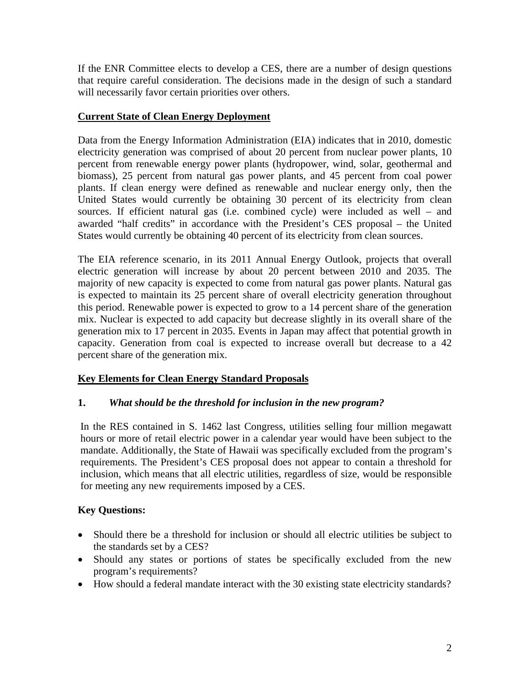If the ENR Committee elects to develop a CES, there are a number of design questions that require careful consideration. The decisions made in the design of such a standard will necessarily favor certain priorities over others.

# **Current State of Clean Energy Deployment**

Data from the Energy Information Administration (EIA) indicates that in 2010, domestic electricity generation was comprised of about 20 percent from nuclear power plants, 10 percent from renewable energy power plants (hydropower, wind, solar, geothermal and biomass), 25 percent from natural gas power plants, and 45 percent from coal power plants. If clean energy were defined as renewable and nuclear energy only, then the United States would currently be obtaining 30 percent of its electricity from clean sources. If efficient natural gas (i.e. combined cycle) were included as well – and awarded "half credits" in accordance with the President's CES proposal – the United States would currently be obtaining 40 percent of its electricity from clean sources.

The EIA reference scenario, in its 2011 Annual Energy Outlook, projects that overall electric generation will increase by about 20 percent between 2010 and 2035. The majority of new capacity is expected to come from natural gas power plants. Natural gas is expected to maintain its 25 percent share of overall electricity generation throughout this period. Renewable power is expected to grow to a 14 percent share of the generation mix. Nuclear is expected to add capacity but decrease slightly in its overall share of the generation mix to 17 percent in 2035. Events in Japan may affect that potential growth in capacity. Generation from coal is expected to increase overall but decrease to a 42 percent share of the generation mix.

# **Key Elements for Clean Energy Standard Proposals**

# **1.** *What should be the threshold for inclusion in the new program?*

In the RES contained in S. 1462 last Congress, utilities selling four million megawatt hours or more of retail electric power in a calendar year would have been subject to the mandate. Additionally, the State of Hawaii was specifically excluded from the program's requirements. The President's CES proposal does not appear to contain a threshold for inclusion, which means that all electric utilities, regardless of size, would be responsible for meeting any new requirements imposed by a CES.

- Should there be a threshold for inclusion or should all electric utilities be subject to the standards set by a CES?
- Should any states or portions of states be specifically excluded from the new program's requirements?
- How should a federal mandate interact with the 30 existing state electricity standards?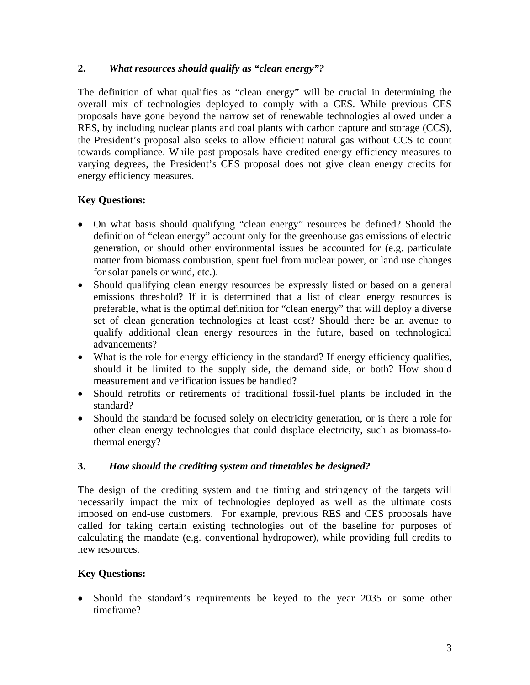# **2.** *What resources should qualify as "clean energy"?*

The definition of what qualifies as "clean energy" will be crucial in determining the overall mix of technologies deployed to comply with a CES. While previous CES proposals have gone beyond the narrow set of renewable technologies allowed under a RES, by including nuclear plants and coal plants with carbon capture and storage (CCS), the President's proposal also seeks to allow efficient natural gas without CCS to count towards compliance. While past proposals have credited energy efficiency measures to varying degrees, the President's CES proposal does not give clean energy credits for energy efficiency measures.

# **Key Questions:**

- On what basis should qualifying "clean energy" resources be defined? Should the definition of "clean energy" account only for the greenhouse gas emissions of electric generation, or should other environmental issues be accounted for (e.g. particulate matter from biomass combustion, spent fuel from nuclear power, or land use changes for solar panels or wind, etc.).
- Should qualifying clean energy resources be expressly listed or based on a general emissions threshold? If it is determined that a list of clean energy resources is preferable, what is the optimal definition for "clean energy" that will deploy a diverse set of clean generation technologies at least cost? Should there be an avenue to qualify additional clean energy resources in the future, based on technological advancements?
- What is the role for energy efficiency in the standard? If energy efficiency qualifies, should it be limited to the supply side, the demand side, or both? How should measurement and verification issues be handled?
- Should retrofits or retirements of traditional fossil-fuel plants be included in the standard?
- Should the standard be focused solely on electricity generation, or is there a role for other clean energy technologies that could displace electricity, such as biomass-tothermal energy?

# **3.** *How should the crediting system and timetables be designed?*

The design of the crediting system and the timing and stringency of the targets will necessarily impact the mix of technologies deployed as well as the ultimate costs imposed on end-use customers. For example, previous RES and CES proposals have called for taking certain existing technologies out of the baseline for purposes of calculating the mandate (e.g. conventional hydropower), while providing full credits to new resources.

# **Key Questions:**

• Should the standard's requirements be keyed to the year 2035 or some other timeframe?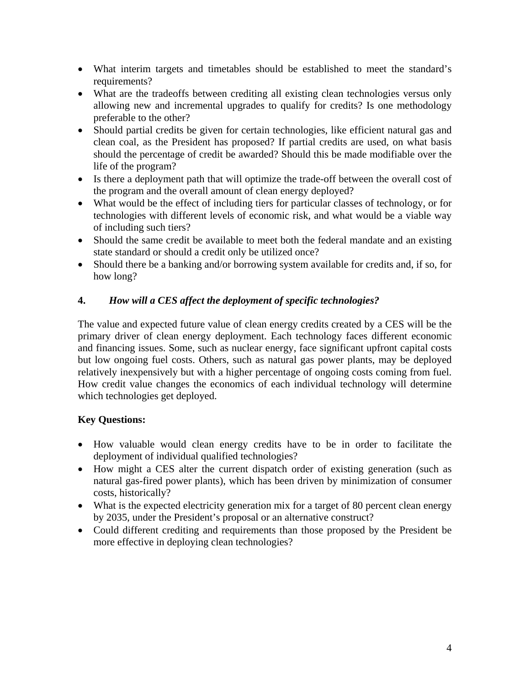- What interim targets and timetables should be established to meet the standard's requirements?
- What are the tradeoffs between crediting all existing clean technologies versus only allowing new and incremental upgrades to qualify for credits? Is one methodology preferable to the other?
- Should partial credits be given for certain technologies, like efficient natural gas and clean coal, as the President has proposed? If partial credits are used, on what basis should the percentage of credit be awarded? Should this be made modifiable over the life of the program?
- Is there a deployment path that will optimize the trade-off between the overall cost of the program and the overall amount of clean energy deployed?
- What would be the effect of including tiers for particular classes of technology, or for technologies with different levels of economic risk, and what would be a viable way of including such tiers?
- Should the same credit be available to meet both the federal mandate and an existing state standard or should a credit only be utilized once?
- Should there be a banking and/or borrowing system available for credits and, if so, for how long?

# **4.** *How will a CES affect the deployment of specific technologies?*

The value and expected future value of clean energy credits created by a CES will be the primary driver of clean energy deployment. Each technology faces different economic and financing issues. Some, such as nuclear energy, face significant upfront capital costs but low ongoing fuel costs. Others, such as natural gas power plants, may be deployed relatively inexpensively but with a higher percentage of ongoing costs coming from fuel. How credit value changes the economics of each individual technology will determine which technologies get deployed.

- How valuable would clean energy credits have to be in order to facilitate the deployment of individual qualified technologies?
- How might a CES alter the current dispatch order of existing generation (such as natural gas-fired power plants), which has been driven by minimization of consumer costs, historically?
- What is the expected electricity generation mix for a target of 80 percent clean energy by 2035, under the President's proposal or an alternative construct?
- Could different crediting and requirements than those proposed by the President be more effective in deploying clean technologies?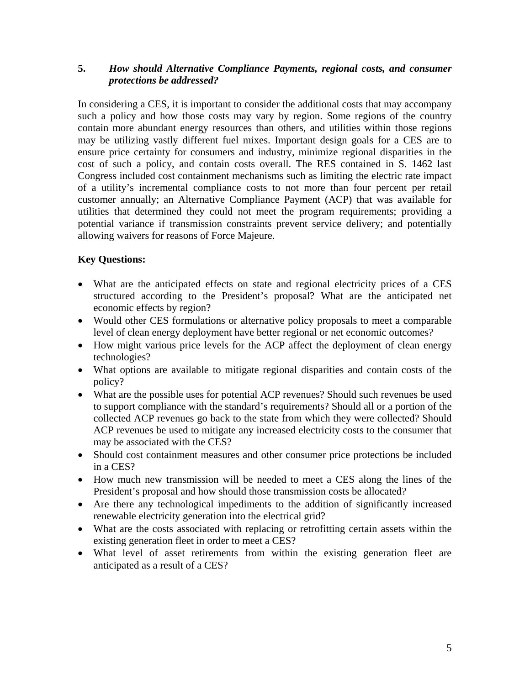### **5.** *How should Alternative Compliance Payments, regional costs, and consumer protections be addressed?*

In considering a CES, it is important to consider the additional costs that may accompany such a policy and how those costs may vary by region. Some regions of the country contain more abundant energy resources than others, and utilities within those regions may be utilizing vastly different fuel mixes. Important design goals for a CES are to ensure price certainty for consumers and industry, minimize regional disparities in the cost of such a policy, and contain costs overall. The RES contained in S. 1462 last Congress included cost containment mechanisms such as limiting the electric rate impact of a utility's incremental compliance costs to not more than four percent per retail customer annually; an Alternative Compliance Payment (ACP) that was available for utilities that determined they could not meet the program requirements; providing a potential variance if transmission constraints prevent service delivery; and potentially allowing waivers for reasons of Force Majeure.

- What are the anticipated effects on state and regional electricity prices of a CES structured according to the President's proposal? What are the anticipated net economic effects by region?
- Would other CES formulations or alternative policy proposals to meet a comparable level of clean energy deployment have better regional or net economic outcomes?
- How might various price levels for the ACP affect the deployment of clean energy technologies?
- What options are available to mitigate regional disparities and contain costs of the policy?
- What are the possible uses for potential ACP revenues? Should such revenues be used to support compliance with the standard's requirements? Should all or a portion of the collected ACP revenues go back to the state from which they were collected? Should ACP revenues be used to mitigate any increased electricity costs to the consumer that may be associated with the CES?
- Should cost containment measures and other consumer price protections be included in a CES?
- How much new transmission will be needed to meet a CES along the lines of the President's proposal and how should those transmission costs be allocated?
- Are there any technological impediments to the addition of significantly increased renewable electricity generation into the electrical grid?
- What are the costs associated with replacing or retrofitting certain assets within the existing generation fleet in order to meet a CES?
- What level of asset retirements from within the existing generation fleet are anticipated as a result of a CES?